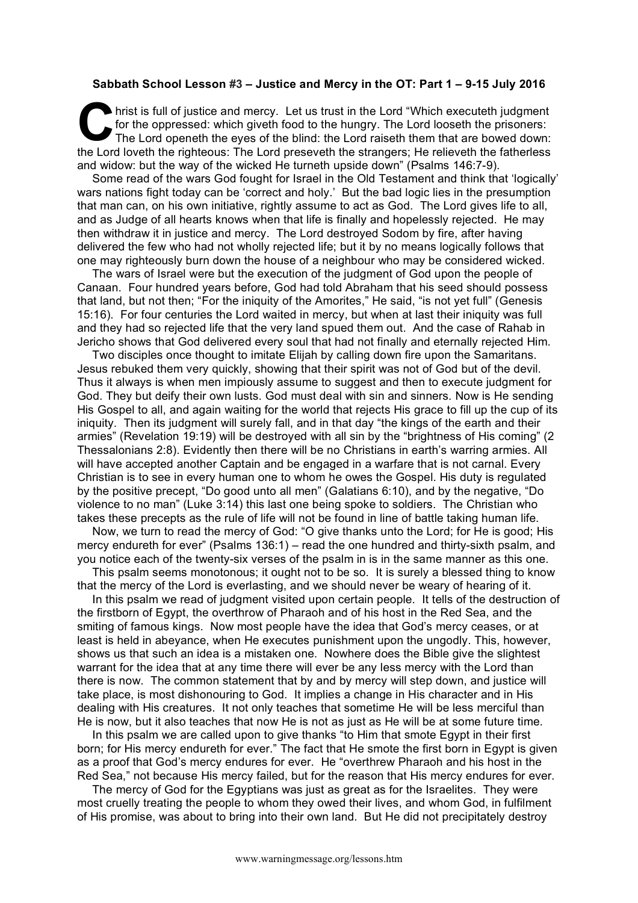## **Sabbath School Lesson #3 – Justice and Mercy in the OT: Part 1 – 9-15 July 2016**

hrist is full of justice and mercy. Let us trust in the Lord "Which executeth judgment for the oppressed: which giveth food to the hungry. The Lord looseth the prisoners: The Lord openeth the eyes of the blind: the Lord raiseth them that are bowed down: the Lord loveth the righteous: The Lord preseveth the strangers; He relieveth the fatherless and widow: but the way of the wicked He turneth upside down" (Psalms 146:7-9). **C** for

Some read of the wars God fought for Israel in the Old Testament and think that 'logically' wars nations fight today can be 'correct and holy.' But the bad logic lies in the presumption that man can, on his own initiative, rightly assume to act as God. The Lord gives life to all, and as Judge of all hearts knows when that life is finally and hopelessly rejected. He may then withdraw it in justice and mercy. The Lord destroyed Sodom by fire, after having delivered the few who had not wholly rejected life; but it by no means logically follows that one may righteously burn down the house of a neighbour who may be considered wicked.

The wars of Israel were but the execution of the judgment of God upon the people of Canaan. Four hundred years before, God had told Abraham that his seed should possess that land, but not then; "For the iniquity of the Amorites," He said, "is not yet full" (Genesis 15:16). For four centuries the Lord waited in mercy, but when at last their iniquity was full and they had so rejected life that the very land spued them out. And the case of Rahab in Jericho shows that God delivered every soul that had not finally and eternally rejected Him.

Two disciples once thought to imitate Elijah by calling down fire upon the Samaritans. Jesus rebuked them very quickly, showing that their spirit was not of God but of the devil. Thus it always is when men impiously assume to suggest and then to execute judgment for God. They but deify their own lusts. God must deal with sin and sinners. Now is He sending His Gospel to all, and again waiting for the world that rejects His grace to fill up the cup of its iniquity. Then its judgment will surely fall, and in that day "the kings of the earth and their armies" (Revelation 19:19) will be destroyed with all sin by the "brightness of His coming" (2 Thessalonians 2:8). Evidently then there will be no Christians in earth's warring armies. All will have accepted another Captain and be engaged in a warfare that is not carnal. Every Christian is to see in every human one to whom he owes the Gospel. His duty is regulated by the positive precept, "Do good unto all men" (Galatians 6:10), and by the negative, "Do violence to no man" (Luke 3:14) this last one being spoke to soldiers. The Christian who takes these precepts as the rule of life will not be found in line of battle taking human life.

Now, we turn to read the mercy of God: "O give thanks unto the Lord; for He is good; His mercy endureth for ever" (Psalms 136:1) – read the one hundred and thirty-sixth psalm, and you notice each of the twenty-six verses of the psalm in is in the same manner as this one.

This psalm seems monotonous; it ought not to be so. It is surely a blessed thing to know that the mercy of the Lord is everlasting, and we should never be weary of hearing of it.

In this psalm we read of judgment visited upon certain people. It tells of the destruction of the firstborn of Egypt, the overthrow of Pharaoh and of his host in the Red Sea, and the smiting of famous kings. Now most people have the idea that God's mercy ceases, or at least is held in abeyance, when He executes punishment upon the ungodly. This, however, shows us that such an idea is a mistaken one. Nowhere does the Bible give the slightest warrant for the idea that at any time there will ever be any less mercy with the Lord than there is now. The common statement that by and by mercy will step down, and justice will take place, is most dishonouring to God. It implies a change in His character and in His dealing with His creatures. It not only teaches that sometime He will be less merciful than He is now, but it also teaches that now He is not as just as He will be at some future time.

In this psalm we are called upon to give thanks "to Him that smote Egypt in their first born; for His mercy endureth for ever." The fact that He smote the first born in Egypt is given as a proof that God's mercy endures for ever. He "overthrew Pharaoh and his host in the Red Sea," not because His mercy failed, but for the reason that His mercy endures for ever.

The mercy of God for the Egyptians was just as great as for the Israelites. They were most cruelly treating the people to whom they owed their lives, and whom God, in fulfilment of His promise, was about to bring into their own land. But He did not precipitately destroy